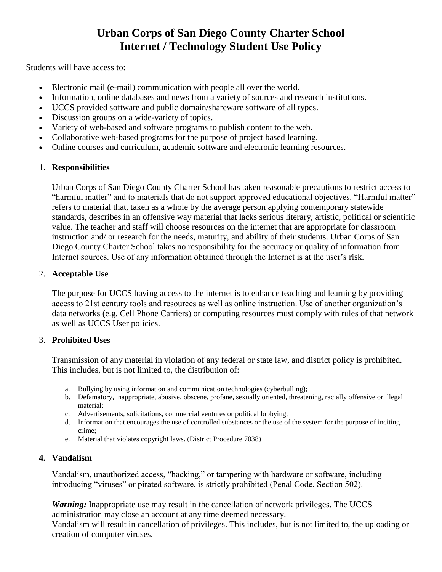# **Urban Corps of San Diego County Charter School Internet / Technology Student Use Policy**

Students will have access to:

- Electronic mail (e-mail) communication with people all over the world.
- Information, online databases and news from a variety of sources and research institutions.
- UCCS provided software and public domain/shareware software of all types.
- Discussion groups on a wide-variety of topics.
- Variety of web-based and software programs to publish content to the web.
- Collaborative web-based programs for the purpose of project based learning.
- Online courses and curriculum, academic software and electronic learning resources.

# 1. **Responsibilities**

Urban Corps of San Diego County Charter School has taken reasonable precautions to restrict access to "harmful matter" and to materials that do not support approved educational objectives. "Harmful matter" refers to material that, taken as a whole by the average person applying contemporary statewide standards, describes in an offensive way material that lacks serious literary, artistic, political or scientific value. The teacher and staff will choose resources on the internet that are appropriate for classroom instruction and/ or research for the needs, maturity, and ability of their students. Urban Corps of San Diego County Charter School takes no responsibility for the accuracy or quality of information from Internet sources. Use of any information obtained through the Internet is at the user's risk.

# 2. **Acceptable Use**

The purpose for UCCS having access to the internet is to enhance teaching and learning by providing access to 21st century tools and resources as well as online instruction. Use of another organization's data networks (e.g. Cell Phone Carriers) or computing resources must comply with rules of that network as well as UCCS User policies.

## 3. **Prohibited Uses**

Transmission of any material in violation of any federal or state law, and district policy is prohibited. This includes, but is not limited to, the distribution of:

- a. Bullying by using information and communication technologies (cyberbulling);
- b. Defamatory, inappropriate, abusive, obscene, profane, sexually oriented, threatening, racially offensive or illegal material;
- c. Advertisements, solicitations, commercial ventures or political lobbying;
- d. Information that encourages the use of controlled substances or the use of the system for the purpose of inciting crime;
- e. Material that violates copyright laws. (District Procedure 7038)

# **4. Vandalism**

Vandalism, unauthorized access, "hacking," or tampering with hardware or software, including introducing "viruses" or pirated software, is strictly prohibited (Penal Code, Section 502).

*Warning:* Inappropriate use may result in the cancellation of network privileges. The UCCS administration may close an account at any time deemed necessary.

Vandalism will result in cancellation of privileges. This includes, but is not limited to, the uploading or creation of computer viruses.